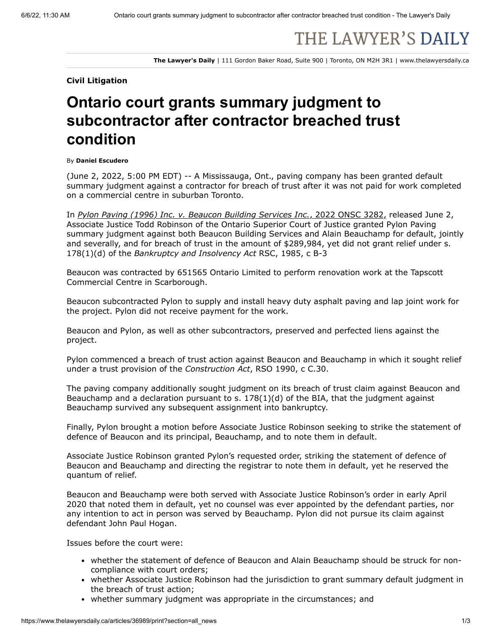# THE LAWYER'S DAILY

**The Lawyer's Daily** | 111 Gordon Baker Road, Suite 900 | Toronto, ON M2H 3R1 | www.thelawyersdaily.ca

#### **Civil Litigation**

## **Ontario court grants summary judgment to subcontractor after contractor breached trust condition**

#### By **Daniel Escudero**

(June 2, 2022, 5:00 PM EDT) -- A Mississauga, Ont., paving company has been granted default summary judgment against a contractor for breach of trust after it was not paid for work completed on a commercial centre in suburban Toronto.

In *[Pylon Paving \(1996\) Inc. v. Beaucon Building Services Inc.](https://www.canlii.org/en/on/onsc/doc/2022/2022onsc3282/2022onsc3282.pdf)*, 2022 ONSC 3282, released June 2, Associate Justice Todd Robinson of the Ontario Superior Court of Justice granted Pylon Paving summary judgment against both Beaucon Building Services and Alain Beauchamp for default, jointly and severally, and for breach of trust in the amount of \$289,984, yet did not grant relief under s. 178(1)(d) of the *Bankruptcy and Insolvency Act* RSC, 1985, c B-3

Beaucon was contracted by 651565 Ontario Limited to perform renovation work at the Tapscott Commercial Centre in Scarborough.

Beaucon subcontracted Pylon to supply and install heavy duty asphalt paving and lap joint work for the project. Pylon did not receive payment for the work.

Beaucon and Pylon, as well as other subcontractors, preserved and perfected liens against the project.

Pylon commenced a breach of trust action against Beaucon and Beauchamp in which it sought relief under a trust provision of the *Construction Act*, RSO 1990, c C.30.

The paving company additionally sought judgment on its breach of trust claim against Beaucon and Beauchamp and a declaration pursuant to s. 178(1)(d) of the BIA, that the judgment against Beauchamp survived any subsequent assignment into bankruptcy.

Finally, Pylon brought a motion before Associate Justice Robinson seeking to strike the statement of defence of Beaucon and its principal, Beauchamp, and to note them in default.

Associate Justice Robinson granted Pylon's requested order, striking the statement of defence of Beaucon and Beauchamp and directing the registrar to note them in default, yet he reserved the quantum of relief.

Beaucon and Beauchamp were both served with Associate Justice Robinson's order in early April 2020 that noted them in default, yet no counsel was ever appointed by the defendant parties, nor any intention to act in person was served by Beauchamp. Pylon did not pursue its claim against defendant John Paul Hogan.

Issues before the court were:

- whether the statement of defence of Beaucon and Alain Beauchamp should be struck for noncompliance with court orders;
- whether Associate Justice Robinson had the jurisdiction to grant summary default judgment in the breach of trust action;
- whether summary judgment was appropriate in the circumstances; and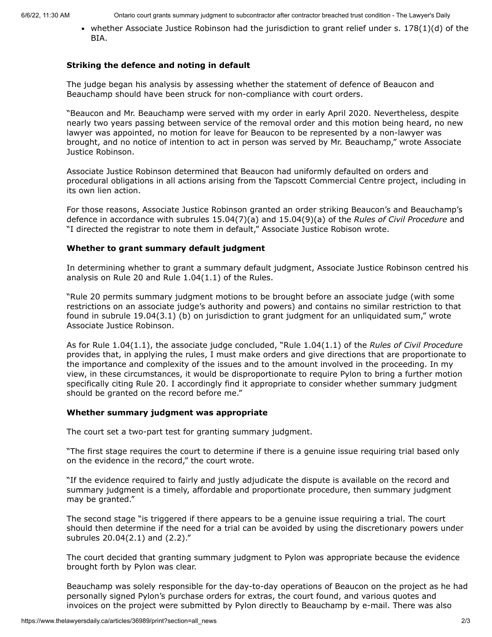6/6/22, 11:30 AM Ontario court grants summary judgment to subcontractor after contractor breached trust condition - The Lawyer's Daily

• whether Associate Justice Robinson had the jurisdiction to grant relief under s.  $178(1)(d)$  of the BIA.

#### **Striking the defence and noting in default**

The judge began his analysis by assessing whether the statement of defence of Beaucon and Beauchamp should have been struck for non-compliance with court orders.

"Beaucon and Mr. Beauchamp were served with my order in early April 2020. Nevertheless, despite nearly two years passing between service of the removal order and this motion being heard, no new lawyer was appointed, no motion for leave for Beaucon to be represented by a non-lawyer was brought, and no notice of intention to act in person was served by Mr. Beauchamp," wrote Associate Justice Robinson.

Associate Justice Robinson determined that Beaucon had uniformly defaulted on orders and procedural obligations in all actions arising from the Tapscott Commercial Centre project, including in its own lien action.

For those reasons, Associate Justice Robinson granted an order striking Beaucon's and Beauchamp's defence in accordance with subrules 15.04(7)(a) and 15.04(9)(a) of the *Rules of Civil Procedure* and "I directed the registrar to note them in default," Associate Justice Robison wrote.

### **Whether to grant summary default judgment**

In determining whether to grant a summary default judgment, Associate Justice Robinson centred his analysis on Rule 20 and Rule 1.04(1.1) of the Rules.

"Rule 20 permits summary judgment motions to be brought before an associate judge (with some restrictions on an associate judge's authority and powers) and contains no similar restriction to that found in subrule 19.04(3.1) (b) on jurisdiction to grant judgment for an unliquidated sum," wrote Associate Justice Robinson.

As for Rule 1.04(1.1), the associate judge concluded, "Rule 1.04(1.1) of the *Rules of Civil Procedure* provides that, in applying the rules, I must make orders and give directions that are proportionate to the importance and complexity of the issues and to the amount involved in the proceeding. In my view, in these circumstances, it would be disproportionate to require Pylon to bring a further motion specifically citing Rule 20. I accordingly find it appropriate to consider whether summary judgment should be granted on the record before me."

#### **Whether summary judgment was appropriate**

The court set a two-part test for granting summary judgment.

"The first stage requires the court to determine if there is a genuine issue requiring trial based only on the evidence in the record," the court wrote.

"If the evidence required to fairly and justly adjudicate the dispute is available on the record and summary judgment is a timely, affordable and proportionate procedure, then summary judgment may be granted."

The second stage "is triggered if there appears to be a genuine issue requiring a trial. The court should then determine if the need for a trial can be avoided by using the discretionary powers under subrules 20.04(2.1) and (2.2)."

The court decided that granting summary judgment to Pylon was appropriate because the evidence brought forth by Pylon was clear.

Beauchamp was solely responsible for the day-to-day operations of Beaucon on the project as he had personally signed Pylon's purchase orders for extras, the court found, and various quotes and invoices on the project were submitted by Pylon directly to Beauchamp by e-mail. There was also